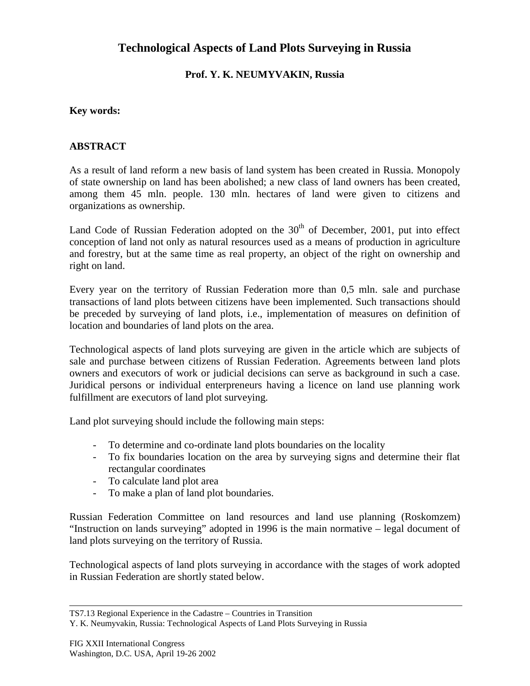# **Technological Aspects of Land Plots Surveying in Russia**

### **Prof. Y. K. NEUMYVAKIN, Russia**

#### **Key words:**

#### **ABSTRACT**

As a result of land reform a new basis of land system has been created in Russia. Monopoly of state ownership on land has been abolished; a new class of land owners has been created, among them 45 mln. people. 130 mln. hectares of land were given to citizens and organizations as ownership.

Land Code of Russian Federation adopted on the  $30<sup>th</sup>$  of December, 2001, put into effect conception of land not only as natural resources used as a means of production in agriculture and forestry, but at the same time as real property, an object of the right on ownership and right on land.

Every year on the territory of Russian Federation more than 0,5 mln. sale and purchase transactions of land plots between citizens have been implemented. Such transactions should be preceded by surveying of land plots, i.e., implementation of measures on definition of location and boundaries of land plots on the area.

Technological aspects of land plots surveying are given in the article which are subjects of sale and purchase between citizens of Russian Federation. Agreements between land plots owners and executors of work or judicial decisions can serve as background in such a case. Juridical persons or individual enterpreneurs having a licence on land use planning work fulfillment are executors of land plot surveying.

Land plot surveying should include the following main steps:

- To determine and co-ordinate land plots boundaries on the locality
- To fix boundaries location on the area by surveying signs and determine their flat rectangular coordinates
- To calculate land plot area
- To make a plan of land plot boundaries.

Russian Federation Committee on land resources and land use planning (Roskomzem) "Instruction on lands surveying" adopted in 1996 is the main normative – legal document of land plots surveying on the territory of Russia.

Technological aspects of land plots surveying in accordance with the stages of work adopted in Russian Federation are shortly stated below.

TS7.13 Regional Experience in the Cadastre – Countries in Transition

Y. K. Neumyvakin, Russia: Technological Aspects of Land Plots Surveying in Russia